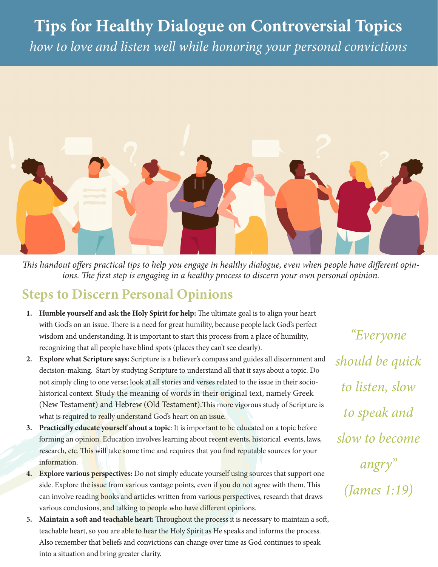*how to love and listen well while honoring your personal convictions*



*This handout offers practical tips to help you engage in healthy dialogue, even when people have different opinions. The first step is engaging in a healthy process to discern your own personal opinion.*

## **Steps to Discern Personal Opinions**

- **1. Humble yourself and ask the Holy Spirit for help:** The ultimate goal is to align your heart with God's on an issue. There is a need for great humility, because people lack God's perfect wisdom and understanding. It is important to start this process from a place of humility, recognizing that all people have blind spots (places they can't see clearly).
- **2. Explore what Scripture says:** Scripture is a believer's compass and guides all discernment and decision-making. Start by studying Scripture to understand all that it says about a topic. Do not simply cling to one verse; look at all stories and verses related to the issue in their sociohistorical context. Study the meaning of words in their original text, namely Greek (New Testament) and Hebrew (Old Testament).This more vigorous study of Scripture is what is required to really understand God's heart on an issue.
- **3.** Practically educate yourself about a topic: It is important to be educated on a topic before forming an opinion. Education involves learning about recent events, historical events, laws, research, etc. This will take some time and requires that you find reputable sources for your information.
- **4. Explore various perspectives:** Do not simply educate yourself using sources that support one side. Explore the **issue** from various vantage points, even if you do not agree with them. This can involve reading books and articles written from various perspectives, research that draws various conclusions, and talking to people who have different opinions.
- **5. Maintain a soft and teachable heart:** Throughout the process it is necessary to maintain a soft, teachable heart, so you are able to hear the Holy Spirit as He speaks and informs the process. Also remember that beliefs and convictions can change over time as God continues to speak into a situation and bring greater clarity.

*"Everyone should be quick to listen, slow to speak and slow to become angry" (James 1:19)*